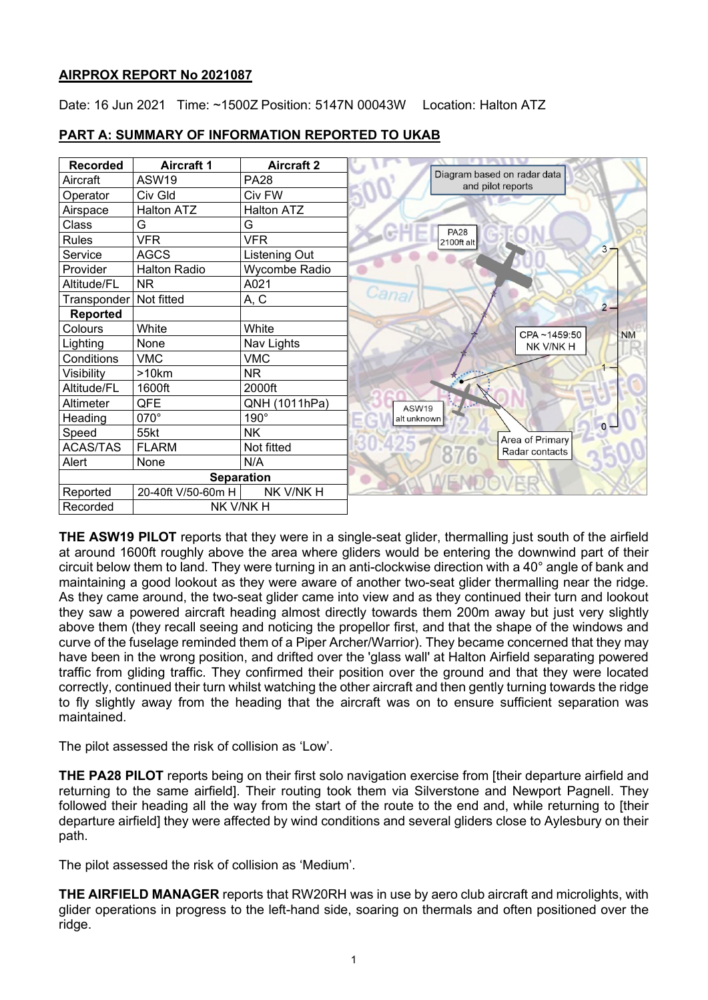### **AIRPROX REPORT No 2021087**

Date: 16 Jun 2021 Time: ~1500Z Position: 5147N 00043W Location: Halton ATZ

| <b>Recorded</b>       | <b>Aircraft 1</b>   | <b>Aircraft 2</b>    |                                                  |
|-----------------------|---------------------|----------------------|--------------------------------------------------|
| Aircraft              | <b>ASW19</b>        | <b>PA28</b>          | Diagram based on radar data<br>and pilot reports |
| Operator              | Civ Gld             | Civ FW               |                                                  |
| Airspace              | <b>Halton ATZ</b>   | <b>Halton ATZ</b>    |                                                  |
| Class                 | G                   | G                    | <b>PA28</b>                                      |
| <b>Rules</b>          | <b>VFR</b>          | <b>VFR</b>           | 2100ft alt                                       |
| Service               | <b>AGCS</b>         | <b>Listening Out</b> | $3 -$                                            |
| Provider              | <b>Halton Radio</b> | Wycombe Radio        |                                                  |
| Altitude/FL           | NR.                 | A021                 |                                                  |
| Transponder           | Not fitted          | A, C                 | Canal                                            |
| <b>Reported</b>       |                     |                      |                                                  |
| Colours               | White               | White                | CPA~1459:50<br><b>NM</b>                         |
| Lighting              | None                | Nav Lights           | NK V/NK H                                        |
| Conditions            | <b>VMC</b>          | <b>VMC</b>           |                                                  |
| Visibility            | >10km               | <b>NR</b>            |                                                  |
| Altitude/FL           | 1600ft              | 2000ft               |                                                  |
| Altimeter             | QFE                 | QNH (1011hPa)        | ASW19                                            |
| Heading               | 070°                | 190°                 | alt unknown<br>$0 -$                             |
| Speed                 | 55kt                | <b>NK</b>            | Area of Primary                                  |
| <b>ACAS/TAS</b>       | <b>FLARM</b>        | Not fitted           | Radar contacts                                   |
| Alert                 | None                | N/A                  |                                                  |
| <b>Separation</b>     |                     |                      |                                                  |
| Reported              | 20-40ft V/50-60m H  | NK V/NK H            |                                                  |
| Recorded<br>NK V/NK H |                     |                      |                                                  |

## **PART A: SUMMARY OF INFORMATION REPORTED TO UKAB**

**THE ASW19 PILOT** reports that they were in a single-seat glider, thermalling just south of the airfield at around 1600ft roughly above the area where gliders would be entering the downwind part of their circuit below them to land. They were turning in an anti-clockwise direction with a 40° angle of bank and maintaining a good lookout as they were aware of another two-seat glider thermalling near the ridge. As they came around, the two-seat glider came into view and as they continued their turn and lookout they saw a powered aircraft heading almost directly towards them 200m away but just very slightly above them (they recall seeing and noticing the propellor first, and that the shape of the windows and curve of the fuselage reminded them of a Piper Archer/Warrior). They became concerned that they may have been in the wrong position, and drifted over the 'glass wall' at Halton Airfield separating powered traffic from gliding traffic. They confirmed their position over the ground and that they were located correctly, continued their turn whilst watching the other aircraft and then gently turning towards the ridge to fly slightly away from the heading that the aircraft was on to ensure sufficient separation was maintained.

The pilot assessed the risk of collision as 'Low'.

**THE PA28 PILOT** reports being on their first solo navigation exercise from [their departure airfield and returning to the same airfield]. Their routing took them via Silverstone and Newport Pagnell. They followed their heading all the way from the start of the route to the end and, while returning to [their departure airfield] they were affected by wind conditions and several gliders close to Aylesbury on their path.

The pilot assessed the risk of collision as 'Medium'.

**THE AIRFIELD MANAGER** reports that RW20RH was in use by aero club aircraft and microlights, with glider operations in progress to the left-hand side, soaring on thermals and often positioned over the ridge.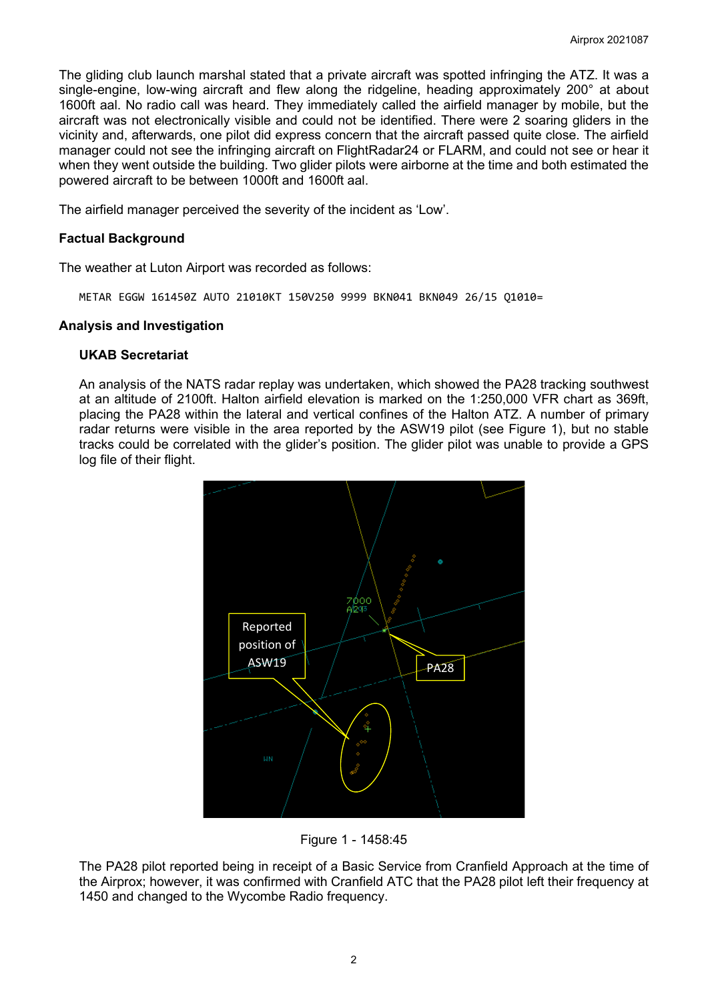The gliding club launch marshal stated that a private aircraft was spotted infringing the ATZ. It was a single-engine, low-wing aircraft and flew along the ridgeline, heading approximately 200° at about 1600ft aal. No radio call was heard. They immediately called the airfield manager by mobile, but the aircraft was not electronically visible and could not be identified. There were 2 soaring gliders in the vicinity and, afterwards, one pilot did express concern that the aircraft passed quite close. The airfield manager could not see the infringing aircraft on FlightRadar24 or FLARM, and could not see or hear it when they went outside the building. Two glider pilots were airborne at the time and both estimated the powered aircraft to be between 1000ft and 1600ft aal.

The airfield manager perceived the severity of the incident as 'Low'.

## **Factual Background**

The weather at Luton Airport was recorded as follows:

METAR EGGW 161450Z AUTO 21010KT 150V250 9999 BKN041 BKN049 26/15 Q1010=

### **Analysis and Investigation**

### **UKAB Secretariat**

An analysis of the NATS radar replay was undertaken, which showed the PA28 tracking southwest at an altitude of 2100ft. Halton airfield elevation is marked on the 1:250,000 VFR chart as 369ft, placing the PA28 within the lateral and vertical confines of the Halton ATZ. A number of primary radar returns were visible in the area reported by the ASW19 pilot (see Figure 1), but no stable tracks could be correlated with the glider's position. The glider pilot was unable to provide a GPS log file of their flight.



Figure 1 - 1458:45

The PA28 pilot reported being in receipt of a Basic Service from Cranfield Approach at the time of the Airprox; however, it was confirmed with Cranfield ATC that the PA28 pilot left their frequency at 1450 and changed to the Wycombe Radio frequency.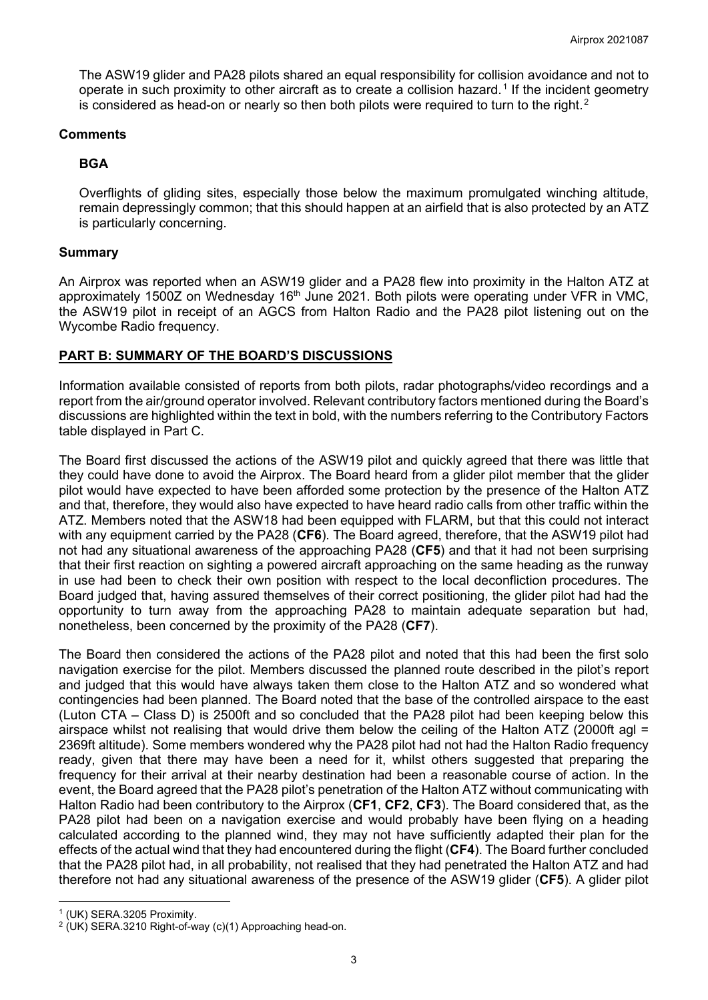The ASW19 glider and PA28 pilots shared an equal responsibility for collision avoidance and not to operate in such proximity to other aircraft as to create a collision hazard.<sup>[1](#page-2-0)</sup> If the incident geometry is considered as head-on or nearly so then both pilots were required to turn to the right.<sup>[2](#page-2-1)</sup>

#### **Comments**

### **BGA**

Overflights of gliding sites, especially those below the maximum promulgated winching altitude, remain depressingly common; that this should happen at an airfield that is also protected by an ATZ is particularly concerning.

#### **Summary**

An Airprox was reported when an ASW19 glider and a PA28 flew into proximity in the Halton ATZ at approximately 1500Z on Wednesday 16<sup>th</sup> June 2021. Both pilots were operating under VFR in VMC, the ASW19 pilot in receipt of an AGCS from Halton Radio and the PA28 pilot listening out on the Wycombe Radio frequency.

#### **PART B: SUMMARY OF THE BOARD'S DISCUSSIONS**

Information available consisted of reports from both pilots, radar photographs/video recordings and a report from the air/ground operator involved. Relevant contributory factors mentioned during the Board's discussions are highlighted within the text in bold, with the numbers referring to the Contributory Factors table displayed in Part C.

The Board first discussed the actions of the ASW19 pilot and quickly agreed that there was little that they could have done to avoid the Airprox. The Board heard from a glider pilot member that the glider pilot would have expected to have been afforded some protection by the presence of the Halton ATZ and that, therefore, they would also have expected to have heard radio calls from other traffic within the ATZ. Members noted that the ASW18 had been equipped with FLARM, but that this could not interact with any equipment carried by the PA28 (**CF6**). The Board agreed, therefore, that the ASW19 pilot had not had any situational awareness of the approaching PA28 (**CF5**) and that it had not been surprising that their first reaction on sighting a powered aircraft approaching on the same heading as the runway in use had been to check their own position with respect to the local deconfliction procedures. The Board judged that, having assured themselves of their correct positioning, the glider pilot had had the opportunity to turn away from the approaching PA28 to maintain adequate separation but had, nonetheless, been concerned by the proximity of the PA28 (**CF7**).

The Board then considered the actions of the PA28 pilot and noted that this had been the first solo navigation exercise for the pilot. Members discussed the planned route described in the pilot's report and judged that this would have always taken them close to the Halton ATZ and so wondered what contingencies had been planned. The Board noted that the base of the controlled airspace to the east (Luton CTA – Class D) is 2500ft and so concluded that the PA28 pilot had been keeping below this airspace whilst not realising that would drive them below the ceiling of the Halton ATZ (2000ft agl = 2369ft altitude). Some members wondered why the PA28 pilot had not had the Halton Radio frequency ready, given that there may have been a need for it, whilst others suggested that preparing the frequency for their arrival at their nearby destination had been a reasonable course of action. In the event, the Board agreed that the PA28 pilot's penetration of the Halton ATZ without communicating with Halton Radio had been contributory to the Airprox (**CF1**, **CF2**, **CF3**). The Board considered that, as the PA28 pilot had been on a navigation exercise and would probably have been flying on a heading calculated according to the planned wind, they may not have sufficiently adapted their plan for the effects of the actual wind that they had encountered during the flight (**CF4**). The Board further concluded that the PA28 pilot had, in all probability, not realised that they had penetrated the Halton ATZ and had therefore not had any situational awareness of the presence of the ASW19 glider (**CF5**). A glider pilot

<span id="page-2-0"></span><sup>1</sup> (UK) SERA.3205 Proximity.

<span id="page-2-1"></span><sup>2</sup> (UK) SERA.3210 Right-of-way (c)(1) Approaching head-on.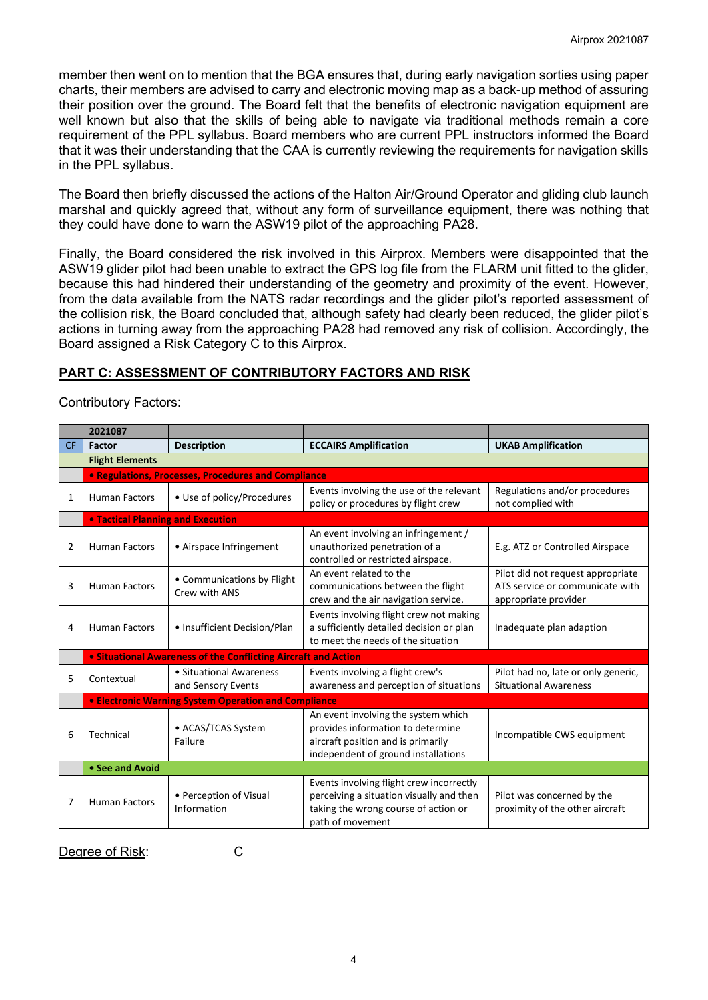member then went on to mention that the BGA ensures that, during early navigation sorties using paper charts, their members are advised to carry and electronic moving map as a back-up method of assuring their position over the ground. The Board felt that the benefits of electronic navigation equipment are well known but also that the skills of being able to navigate via traditional methods remain a core requirement of the PPL syllabus. Board members who are current PPL instructors informed the Board that it was their understanding that the CAA is currently reviewing the requirements for navigation skills in the PPL syllabus.

The Board then briefly discussed the actions of the Halton Air/Ground Operator and gliding club launch marshal and quickly agreed that, without any form of surveillance equipment, there was nothing that they could have done to warn the ASW19 pilot of the approaching PA28.

Finally, the Board considered the risk involved in this Airprox. Members were disappointed that the ASW19 glider pilot had been unable to extract the GPS log file from the FLARM unit fitted to the glider, because this had hindered their understanding of the geometry and proximity of the event. However, from the data available from the NATS radar recordings and the glider pilot's reported assessment of the collision risk, the Board concluded that, although safety had clearly been reduced, the glider pilot's actions in turning away from the approaching PA28 had removed any risk of collision. Accordingly, the Board assigned a Risk Category C to this Airprox.

# **PART C: ASSESSMENT OF CONTRIBUTORY FACTORS AND RISK**

## Contributory Factors:

|                | 2021087                                                        |                                               |                                                                                                                                                       |                                                                                              |  |  |  |  |  |  |
|----------------|----------------------------------------------------------------|-----------------------------------------------|-------------------------------------------------------------------------------------------------------------------------------------------------------|----------------------------------------------------------------------------------------------|--|--|--|--|--|--|
| <b>CF</b>      | Factor                                                         | <b>Description</b>                            | <b>ECCAIRS Amplification</b>                                                                                                                          | <b>UKAB Amplification</b>                                                                    |  |  |  |  |  |  |
|                | <b>Flight Elements</b>                                         |                                               |                                                                                                                                                       |                                                                                              |  |  |  |  |  |  |
|                | • Regulations, Processes, Procedures and Compliance            |                                               |                                                                                                                                                       |                                                                                              |  |  |  |  |  |  |
| 1              | <b>Human Factors</b>                                           | • Use of policy/Procedures                    | Events involving the use of the relevant<br>policy or procedures by flight crew                                                                       | Regulations and/or procedures<br>not complied with                                           |  |  |  |  |  |  |
|                | <b>. Tactical Planning and Execution</b>                       |                                               |                                                                                                                                                       |                                                                                              |  |  |  |  |  |  |
| $\overline{2}$ | <b>Human Factors</b>                                           | • Airspace Infringement                       | An event involving an infringement /<br>unauthorized penetration of a<br>controlled or restricted airspace.                                           | E.g. ATZ or Controlled Airspace                                                              |  |  |  |  |  |  |
| 3              | <b>Human Factors</b>                                           | • Communications by Flight<br>Crew with ANS   | An event related to the<br>communications between the flight<br>crew and the air navigation service.                                                  | Pilot did not request appropriate<br>ATS service or communicate with<br>appropriate provider |  |  |  |  |  |  |
| 4              | <b>Human Factors</b>                                           | • Insufficient Decision/Plan                  | Events involving flight crew not making<br>a sufficiently detailed decision or plan<br>to meet the needs of the situation                             | Inadequate plan adaption                                                                     |  |  |  |  |  |  |
|                | • Situational Awareness of the Conflicting Aircraft and Action |                                               |                                                                                                                                                       |                                                                                              |  |  |  |  |  |  |
| 5              | Contextual                                                     | • Situational Awareness<br>and Sensory Events | Events involving a flight crew's<br>awareness and perception of situations                                                                            | Pilot had no, late or only generic,<br><b>Situational Awareness</b>                          |  |  |  |  |  |  |
|                | <b>• Electronic Warning System Operation and Compliance</b>    |                                               |                                                                                                                                                       |                                                                                              |  |  |  |  |  |  |
| 6              | • ACAS/TCAS System<br>Technical<br>Failure                     |                                               | An event involving the system which<br>provides information to determine<br>aircraft position and is primarily<br>independent of ground installations | Incompatible CWS equipment                                                                   |  |  |  |  |  |  |
|                | • See and Avoid                                                |                                               |                                                                                                                                                       |                                                                                              |  |  |  |  |  |  |
| 7              | <b>Human Factors</b>                                           | • Perception of Visual<br>Information         | Events involving flight crew incorrectly<br>perceiving a situation visually and then<br>taking the wrong course of action or<br>path of movement      | Pilot was concerned by the<br>proximity of the other aircraft                                |  |  |  |  |  |  |

Degree of Risk: C